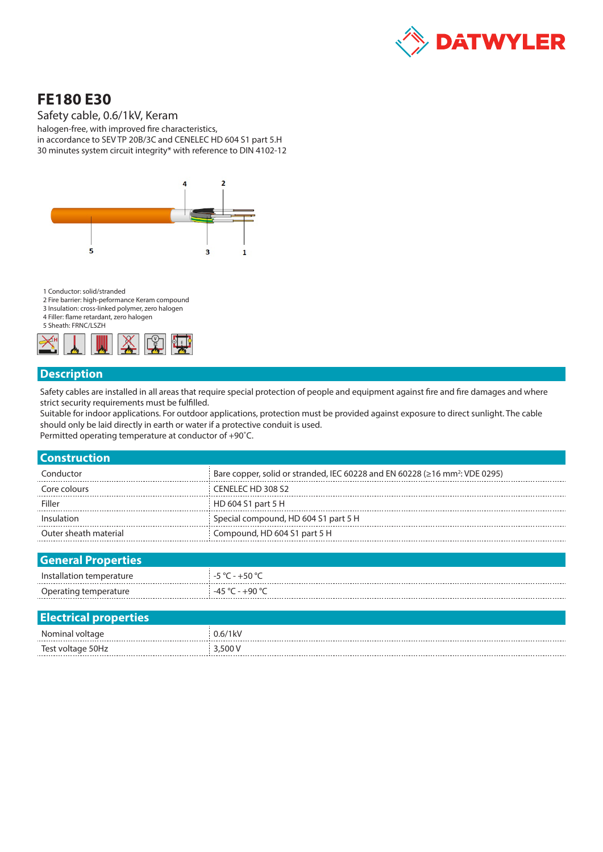

## **FE180 E30**

Safety cable, 0.6/1kV, Keram

halogen-free, with improved fire characteristics, in accordance to SEV TP 20B/3C and CENELEC HD 604 S1 part 5.H 30 minutes system circuit integrity\* with reference to DIN 4102-12



1 Conductor: solid/stranded

- 2 Fire barrier: high-peformance Keram compound
- 3 Insulation: cross-linked polymer, zero halogen 4 Filler: flame retardant, zero halogen

5 Sheath: FRNC/LSZH



## **Description**

Safety cables are installed in all areas that require special protection of people and equipment against fire and fire damages and where strict security requirements must be fulfilled.

Suitable for indoor applications. For outdoor applications, protection must be provided against exposure to direct sunlight. The cable should only be laid directly in earth or water if a protective conduit is used.

Permitted operating temperature at conductor of +90˚C.

| <b>Construction</b>   |                                                                                                |
|-----------------------|------------------------------------------------------------------------------------------------|
| Conductor             | Bare copper, solid or stranded, IEC 60228 and EN 60228 ( $\geq$ 16 mm <sup>2</sup> : VDE 0295) |
| Core colours          | CENELEC HD 308 S2                                                                              |
| Filler                | HD 604 S1 part 5 H                                                                             |
| Insulation            | Special compound, HD 604 S1 part 5 H                                                           |
| Outer sheath material | Compound, HD 604 S1 part 5 H                                                                   |
|                       |                                                                                                |

| <b>General Properties</b> |                   |
|---------------------------|-------------------|
| Installation temperature  | $-5 °C - +50 °C$  |
| Operating temperature     | $-45 °C - +90 °C$ |

| <b>Electrical properties</b> |            |
|------------------------------|------------|
| Nominal voltage              | $0.6/1$ kV |
| Test voltage 50Hz<br>        | 3,500V     |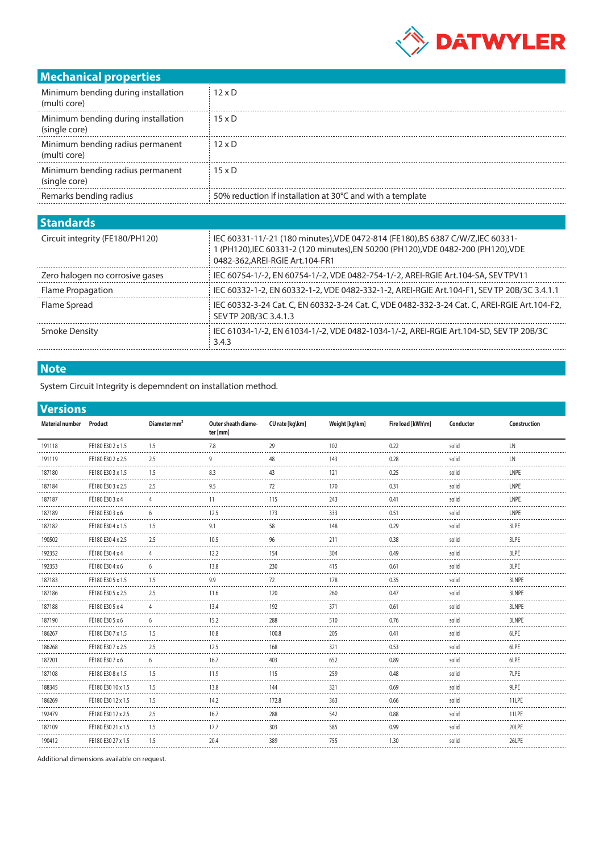

## **Mechanical properties**

| Minimum bending during installation<br>(multi core)  | $12 \times D$                                             |
|------------------------------------------------------|-----------------------------------------------------------|
| Minimum bending during installation<br>(single core) | $15 \times D$                                             |
| Minimum bending radius permanent<br>(multi core)     | $12 \times D$                                             |
| Minimum bending radius permanent<br>(single core)    | $15 \times D$                                             |
| Remarks bending radius                               | 50% reduction if installation at 30°C and with a template |
|                                                      |                                                           |

| <b>Standards</b>                |                                                                                                                                                                                                        |
|---------------------------------|--------------------------------------------------------------------------------------------------------------------------------------------------------------------------------------------------------|
| Circuit integrity (FE180/PH120) | IEC 60331-11/-21 (180 minutes), VDE 0472-814 (FE180), BS 6387 C/W/Z, IEC 60331-<br>I (PH120), IEC 60331-2 (120 minutes), EN 50200 (PH120), VDE 0482-200 (PH120), VDE<br>0482-362.AREI-RGIE Art.104-FR1 |
| Zero halogen no corrosive gases | IEC 60754-1/-2, EN 60754-1/-2, VDE 0482-754-1/-2, AREI-RGIE Art.104-SA, SEV TPV11                                                                                                                      |
| Flame Propagation               | IEC 60332-1-2, EN 60332-1-2, VDE 0482-332-1-2, AREI-RGIE Art.104-F1, SEV TP 20B/3C 3.4.1.1                                                                                                             |
| Flame Spread                    | IEC 60332-3-24 Cat. C, EN 60332-3-24 Cat. C, VDE 0482-332-3-24 Cat. C, AREI-RGIE Art.104-F2,<br>SEV TP 20B/3C 3.4.1.3                                                                                  |
| <b>Smoke Density</b>            | IEC 61034-1/-2, EN 61034-1/-2, VDE 0482-1034-1/-2, AREI-RGIE Art.104-SD, SEV TP 20B/3C<br>3.4.3                                                                                                        |
|                                 |                                                                                                                                                                                                        |

## **Note**

System Circuit Integrity is depemndent on installation method.

| <b>Versions</b>        |                    |                          |                                 |                 |                |                   |           |              |
|------------------------|--------------------|--------------------------|---------------------------------|-----------------|----------------|-------------------|-----------|--------------|
| <b>Material number</b> | Product            | Diameter mm <sup>2</sup> | Outer sheath diame-<br>ter [mm] | CU rate [kg\km] | Weight [kg\km] | Fire load [kWh\m] | Conductor | Construction |
| 191118                 | FE180 E30 2 x 1.5  | 1.5                      | 7.8                             | 29              | 102            | 0.22              | solid     | LN           |
| 191119                 | FE180 E30 2 x 2.5  | 2.5                      | 9                               | 48              | 143            | 0.28              | solid     | LN           |
| 187180                 | FE180 E30 3 x 1.5  | 1.5                      | 8.3                             | 43              | 121            | 0.25              | solid     | LNPE         |
| 187184                 | FE180 E30 3 x 2.5  | 2.5                      | 9.5                             | 72              | 170            | 0.31              | solid     | LNPE         |
| 187187                 | FE180 E30 3 x 4    | 4                        | 11                              | 115             | 243            | 0.41              | solid     | LNPE         |
| 187189                 | FE180 E30 3 x 6    | 6                        | 12.5                            | 173             | 333            | 0.51              | solid     | LNPE         |
| 187182                 | FE180 E30 4 x 1.5  | 1.5                      | 9.1                             | 58              | 148            | 0.29              | solid     | 3LPE         |
| 190502                 | FE180 E30 4 x 2.5  | 2.5                      | 10.5                            | 96              | 211            | 0.38              | solid     | 3LPE         |
| 192352                 | FE180 E30 4 x 4    | 4                        | 12.2                            | 154             | 304            | 0.49              | solid     | 3LPE         |
| 192353                 | FE180 E30 4 x 6    | 6                        | 13.8                            | 230             | 415            | 0.61              | solid     | 3LPE         |
| 187183                 | FE180 E30 5 x 1.5  | 1.5                      | 9.9                             | 72              | 178            | 0.35              | solid     | 3LNPE        |
| 187186                 | FE180 E30 5 x 2.5  | 2.5                      | 11.6                            | 120             | 260            | 0.47              | solid     | 3LNPE        |
| 187188                 | FE180 E30 5 x 4    | $\overline{4}$           | 13.4                            | 192             | 371            | 0.61              | solid     | 3LNPE        |
| 187190                 | FE180 E30 5 x 6    | 6                        | 15.2                            | 288             | 510            | 0.76              | solid     | 3LNPE        |
| 186267                 | FE180 E30 7 x 1.5  | 1.5                      | 10.8                            | 100.8           | 205            | 0.41              | solid     | 6LPE         |
| 186268                 | FE180 E30 7 x 2.5  | 2.5                      | 12.5                            | 168             | 321            | 0.53              | solid     | 6LPE         |
| 187201<br>.            | FE180 E30 7 x 6    | 6                        | 16.7                            | 403             | 652            | 0.89              | solid     | 6LPE         |
| 187108                 | FE180 E30 8 x 1.5  | 1.5                      | 11.9                            | 115             | 259            | 0.48              | solid     | 7LPE         |
| 188345                 | FE180 E30 10 x 1.5 | 1.5                      | 13.8                            | 144             | 321            | 0.69              | solid     | 9LPE         |
| 186269                 | FE180 E30 12 x 1.5 | 1.5                      | 14.2                            | 172.8           | 363            | 0.66              | solid     | 11LPE        |
| 192479                 | FE180 E30 12 x 2.5 | 2.5                      | 16.7                            | 288             | 542            | 0.88              | solid     | 11LPE        |
| 187109                 | FE180 E30 21 x 1.5 | 1.5                      | 17.7                            | 303             | 585            | 0.99              | solid     | 20LPE        |
| 190412                 | FE180 E30 27 x 1.5 | 1.5                      | 20.4                            | 389             | 755            | 1.30              | solid     | 26LPE        |
|                        |                    |                          |                                 |                 |                |                   |           |              |

Additional dimensions available on request.